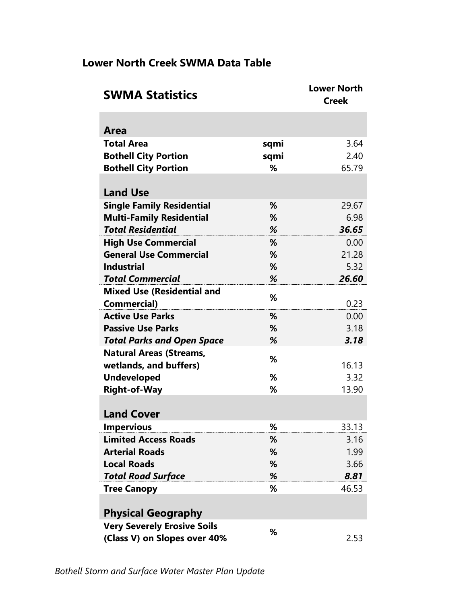## **Lower North Creek SWMA Data Table**

| <b>SWMA Statistics</b>                                  |      | <b>Lower North</b><br><b>Creek</b> |
|---------------------------------------------------------|------|------------------------------------|
| Area                                                    |      |                                    |
| <b>Total Area</b>                                       | sqmi | 3.64                               |
| <b>Bothell City Portion</b>                             | sqmi | 2.40                               |
| <b>Bothell City Portion</b>                             | %    | 65.79                              |
| <b>Land Use</b>                                         |      |                                    |
| <b>Single Family Residential</b>                        | %    | 29.67                              |
| <b>Multi-Family Residential</b>                         | %    | 6.98                               |
| <b>Total Residential</b>                                | %    | 36.65                              |
| <b>High Use Commercial</b>                              | %    | 0.00                               |
| <b>General Use Commercial</b>                           | %    | 21.28                              |
| <b>Industrial</b>                                       | %    | 5.32                               |
| <b>Total Commercial</b>                                 | %    | 26.60                              |
| <b>Mixed Use (Residential and</b><br><b>Commercial)</b> | %    | 0.23                               |
| <b>Active Use Parks</b>                                 | %    | 0.00                               |
| <b>Passive Use Parks</b>                                | %    | 3.18                               |
| <b>Total Parks and Open Space</b>                       | %    | 3.18                               |
| <b>Natural Areas (Streams,</b>                          |      |                                    |
| wetlands, and buffers)                                  | %    | 16.13                              |
| <b>Undeveloped</b>                                      | %    | 3.32                               |
| <b>Right-of-Way</b>                                     | %    | 13.90                              |
| <b>Land Cover</b>                                       |      |                                    |
| <b>Impervious</b>                                       | %    | 33.13                              |
| <b>Limited Access Roads</b>                             | %    | 3.16                               |
| <b>Arterial Roads</b>                                   | %    | 1.99                               |
| <b>Local Roads</b>                                      | %    | 3.66                               |
| <b>Total Road Surface</b>                               | %    | 8.81                               |
| <b>Tree Canopy</b>                                      | %    | 46.53                              |
| <b>Physical Geography</b>                               |      |                                    |
| <b>Very Severely Erosive Soils</b>                      |      |                                    |
| (Class V) on Slopes over 40%                            | %    | 2.53                               |
|                                                         |      |                                    |